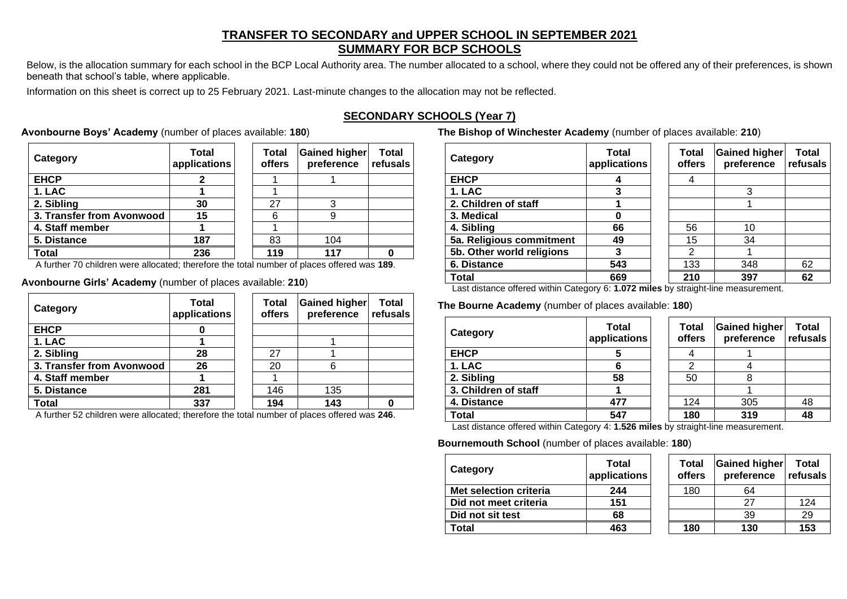# **TRANSFER TO SECONDARY and UPPER SCHOOL IN SEPTEMBER 2021 SUMMARY FOR BCP SCHOOLS**

Below, is the allocation summary for each school in the BCP Local Authority area. The number allocated to a school, where they could not be offered any of their preferences, is shown beneath that school's table, where applicable.

Information on this sheet is correct up to 25 February 2021. Last-minute changes to the allocation may not be reflected.

# **SECONDARY SCHOOLS (Year 7)**

# **Avonbourne Boys' Academy** (number of places available: **180**)

| Category                  | <b>Total</b><br>applications | <b>Total</b><br>offers | Gained higher<br>preference | <b>Total</b><br>refusals |
|---------------------------|------------------------------|------------------------|-----------------------------|--------------------------|
| <b>EHCP</b>               |                              |                        |                             |                          |
| 1. LAC                    |                              |                        |                             |                          |
| 2. Sibling                | 30                           | 27                     |                             |                          |
| 3. Transfer from Avonwood | 15                           | 6                      |                             |                          |
| 4. Staff member           |                              |                        |                             |                          |
| 5. Distance               | 187                          | 83                     | 104                         |                          |
| <b>Total</b>              | 236                          | 119                    |                             |                          |

A further 70 children were allocated; therefore the total number of places offered was **189**.

## **Avonbourne Girls' Academy** (number of places available: **210**)

| Category                  | <b>Total</b><br>applications | <b>Total</b><br>offers | <b>Gained higher</b><br>preference | <b>Total</b><br>refusals |
|---------------------------|------------------------------|------------------------|------------------------------------|--------------------------|
| <b>EHCP</b>               |                              |                        |                                    |                          |
| 1. LAC                    |                              |                        |                                    |                          |
| 2. Sibling                | 28                           | 27                     |                                    |                          |
| 3. Transfer from Avonwood | 26                           | 20                     | 6                                  |                          |
| 4. Staff member           |                              |                        |                                    |                          |
| 5. Distance               | 281                          | 146                    | 135                                |                          |
| Total                     | 337                          | 194                    | 143                                |                          |

A further 52 children were allocated; therefore the total number of places offered was **246**.

**The Bishop of Winchester Academy** (number of places available: **210**)

| Category                  | Total<br>applications | <b>Total</b><br>offers | Gained higher<br>preference | Total<br>refusals |
|---------------------------|-----------------------|------------------------|-----------------------------|-------------------|
| <b>EHCP</b>               |                       |                        |                             |                   |
| 1. LAC                    | 3                     |                        | 3                           |                   |
| 2. Children of staff      |                       |                        |                             |                   |
| 3. Medical                | 0                     |                        |                             |                   |
| 4. Sibling                | 66                    | 56                     | 10                          |                   |
| 5a. Religious commitment  | 49                    | 15                     | 34                          |                   |
| 5b. Other world religions | 3                     | 2                      |                             |                   |
| 6. Distance               | 543                   | 133                    | 348                         | 62                |
| Total                     | 669                   | 210                    | 397                         | 62                |

Last distance offered within Category 6: **1.072 miles** by straight-line measurement.

# **The Bourne Academy** (number of places available: **180**)

| Category             | <b>Total</b><br>applications | <b>Total</b><br>offers | Gained higher<br>preference | <b>Total</b><br>refusals |
|----------------------|------------------------------|------------------------|-----------------------------|--------------------------|
| <b>EHCP</b>          |                              |                        |                             |                          |
| 1. LAC               |                              |                        |                             |                          |
| 2. Sibling           | 58                           | 50                     |                             |                          |
| 3. Children of staff |                              |                        |                             |                          |
| 4. Distance          | 477                          | 124                    | 305                         | 48                       |
| Total                | 547                          | 180                    | 319                         | 48                       |

Last distance offered within Category 4: **1.526 miles** by straight-line measurement.

### **Bournemouth School** (number of places available: **180**)

| Category               | <b>Total</b><br>applications | <b>Total</b><br>offers | <b>Gained higher</b><br>preference | Total<br>refusals |
|------------------------|------------------------------|------------------------|------------------------------------|-------------------|
| Met selection criteria | 244                          | 180                    | 64                                 |                   |
| Did not meet criteria  | 151                          |                        | 27                                 | 124               |
| Did not sit test       | 68                           |                        | 39                                 | 29                |
| <b>Total</b>           | 463                          | 180                    | 130                                | 153               |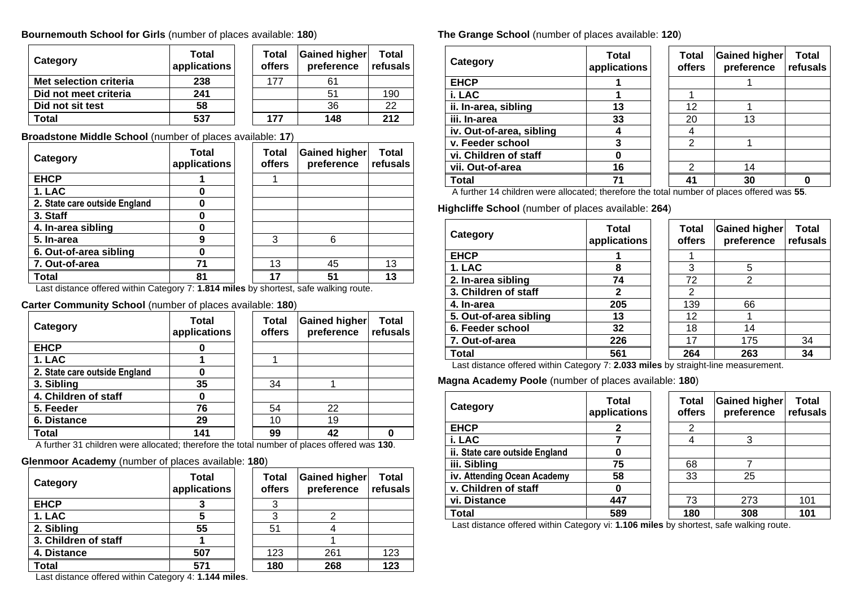## **Bournemouth School for Girls** (number of places available: **180**)

| Category               | <b>Total</b><br>applications | Total<br>offers | Gained higher<br>preference | <b>Total</b><br>refusals |
|------------------------|------------------------------|-----------------|-----------------------------|--------------------------|
| Met selection criteria | 238                          | 177             | 61                          |                          |
| Did not meet criteria  | 241                          |                 | 51                          | 190                      |
| Did not sit test       | 58                           |                 | 36                          | 22                       |
| Total                  | 537                          | 177             | 148                         | 212                      |

**Broadstone Middle School** (number of places available: **17**)

| Category                      | Total<br>applications | Total<br><b>offers</b> | <b>Gained higher</b><br>preference | Total<br>refusals |
|-------------------------------|-----------------------|------------------------|------------------------------------|-------------------|
| <b>EHCP</b>                   |                       |                        |                                    |                   |
| 1. LAC                        | O                     |                        |                                    |                   |
| 2. State care outside England | Ω                     |                        |                                    |                   |
| 3. Staff                      | O                     |                        |                                    |                   |
| 4. In-area sibling            |                       |                        |                                    |                   |
| 5. In-area                    | 9                     | 3                      | 6                                  |                   |
| 6. Out-of-area sibling        | O                     |                        |                                    |                   |
| 7. Out-of-area                | 71                    | 13                     | 45                                 | 13                |
| Total                         | 81                    | 17                     | 51                                 | 13                |

Last distance offered within Category 7: **1.814 miles** by shortest, safe walking route.

**Carter Community School** (number of places available: **180**)

| Category                      | <b>Total</b><br>applications | Total<br>offers | <b>Gained higher</b><br>preference | Total<br>refusals |
|-------------------------------|------------------------------|-----------------|------------------------------------|-------------------|
| <b>EHCP</b>                   |                              |                 |                                    |                   |
| 1. LAC                        |                              |                 |                                    |                   |
| 2. State care outside England |                              |                 |                                    |                   |
| 3. Sibling                    | 35                           | 34              |                                    |                   |
| 4. Children of staff          |                              |                 |                                    |                   |
| 5. Feeder                     | 76                           | 54              | 22                                 |                   |
| 6. Distance                   | 29                           | 10              | 19                                 |                   |
| <b>Total</b>                  | 141                          | 99              | 42                                 |                   |

A further 31 children were allocated; therefore the total number of places offered was **130**.

## **Glenmoor Academy** (number of places available: **180**)

| Category             | <b>Total</b><br>applications | <b>Total</b><br>offers | <b>Gained higher</b><br>preference | <b>Total</b><br>refusals |
|----------------------|------------------------------|------------------------|------------------------------------|--------------------------|
| <b>EHCP</b>          |                              |                        |                                    |                          |
| 1. LAC               |                              |                        |                                    |                          |
| 2. Sibling           | 55                           | 51                     |                                    |                          |
| 3. Children of staff |                              |                        |                                    |                          |
| 4. Distance          | 507                          | 123                    | 261                                | 123                      |
| Total                | 571                          | 180                    | 268                                | 123                      |

**The Grange School** (number of places available: **120**)

| Category                 | Total<br>applications | <b>Total</b><br>offers | <b>Gained higher</b><br>preference | Total<br>refusals |
|--------------------------|-----------------------|------------------------|------------------------------------|-------------------|
| <b>EHCP</b>              |                       |                        |                                    |                   |
| i. LAC                   |                       |                        |                                    |                   |
| ii. In-area, sibling     | 13                    | 12                     |                                    |                   |
| iii. In-area             | 33                    | 20                     | 13                                 |                   |
| iv. Out-of-area, sibling |                       |                        |                                    |                   |
| v. Feeder school         |                       | $\mathcal{P}$          |                                    |                   |
| vi. Children of staff    |                       |                        |                                    |                   |
| vii. Out-of-area         | 16                    | ົ                      | 14                                 |                   |
| Total                    | 71                    | 41                     | 30                                 |                   |

A further 14 children were allocated; therefore the total number of places offered was **55**.

**Highcliffe School** (number of places available: **264**)

| Category               | Total<br>applications | <b>Total</b><br>offers | <b>Gained higher</b><br>preference | Total<br>refusals |
|------------------------|-----------------------|------------------------|------------------------------------|-------------------|
| <b>EHCP</b>            |                       |                        |                                    |                   |
| 1. LAC                 | 8                     | 3                      | 5                                  |                   |
| 2. In-area sibling     | 74                    | 72                     | $\overline{2}$                     |                   |
| 3. Children of staff   | 2                     | 2                      |                                    |                   |
| 4. In-area             | 205                   | 139                    | 66                                 |                   |
| 5. Out-of-area sibling | 13                    | 12                     |                                    |                   |
| 6. Feeder school       | 32                    | 18                     | 14                                 |                   |
| 7. Out-of-area         | 226                   | 17                     | 175                                | 34                |
| <b>Total</b>           | 561                   | 264                    | 263                                | 34                |

Last distance offered within Category 7: **2.033 miles** by straight-line measurement.

**Magna Academy Poole** (number of places available: **180**)

| Category                       | Total<br>applications | <b>Total</b><br>offers | <b>Gained higher</b><br>preference | Total<br>refusals |
|--------------------------------|-----------------------|------------------------|------------------------------------|-------------------|
| <b>EHCP</b>                    | 2                     | 2                      |                                    |                   |
| i. LAC                         |                       | 4                      | 3                                  |                   |
| ii. State care outside England | 0                     |                        |                                    |                   |
| iii. Sibling                   | 75                    | 68                     |                                    |                   |
| iv. Attending Ocean Academy    | 58                    | 33                     | 25                                 |                   |
| v. Children of staff           | 0                     |                        |                                    |                   |
| vi. Distance                   | 447                   | 73                     | 273                                | 101               |
| Total                          | 589                   | 180                    | 308                                | 101               |

Last distance offered within Category vi: **1.106 miles** by shortest, safe walking route.

Last distance offered within Category 4: **1.144 miles**.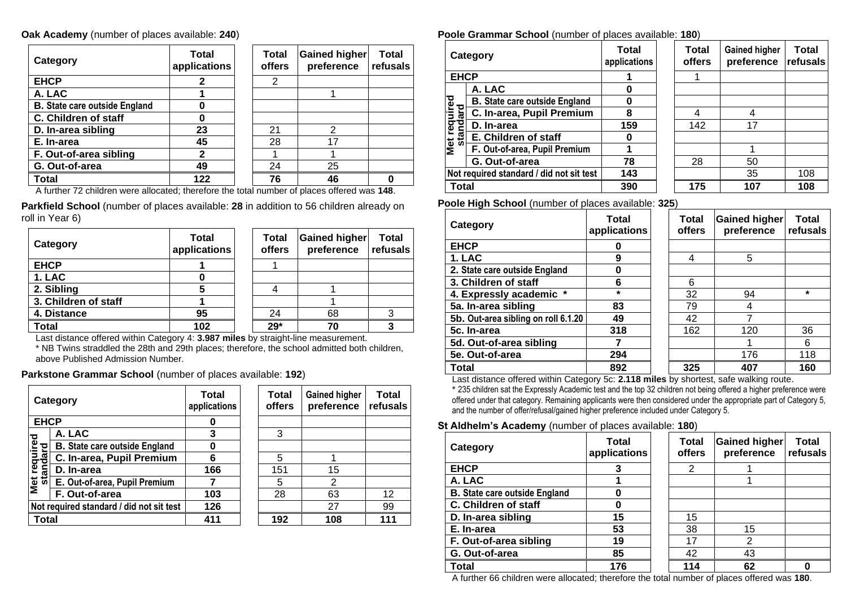#### **Oak Academy** (number of places available: **240**)

| Category                             | <b>Total</b><br>applications | Total<br>offers | <b>Gained higher</b><br>preference | <b>Total</b><br>refusals |
|--------------------------------------|------------------------------|-----------------|------------------------------------|--------------------------|
| <b>EHCP</b>                          |                              | 2               |                                    |                          |
| A. LAC                               |                              |                 |                                    |                          |
| <b>B.</b> State care outside England | O                            |                 |                                    |                          |
| C. Children of staff                 | O                            |                 |                                    |                          |
| D. In-area sibling                   | 23                           | 21              | 2                                  |                          |
| E. In-area                           | 45                           | 28              | 17                                 |                          |
| F. Out-of-area sibling               | 2                            |                 |                                    |                          |
| G. Out-of-area                       | 49                           | 24              | 25                                 |                          |
| Total                                | 122                          | 76              | 46                                 |                          |

A further 72 children were allocated; therefore the total number of places offered was **148**.

**Parkfield School** (number of places available: **28** in addition to 56 children already on roll in Year 6)

| Category             | <b>Total</b><br>applications | Total<br>offers | <b>Gained higher</b><br>preference | <b>Total</b><br>refusals |
|----------------------|------------------------------|-----------------|------------------------------------|--------------------------|
| <b>EHCP</b>          |                              |                 |                                    |                          |
| 1. LAC               |                              |                 |                                    |                          |
| 2. Sibling           |                              |                 |                                    |                          |
| 3. Children of staff |                              |                 |                                    |                          |
| 4. Distance          | 95                           | 24              | 68                                 |                          |
| Total                | 102                          | $29*$           | 70                                 |                          |

Last distance offered within Category 4: **3.987 miles** by straight-line measurement.

\* NB Twins straddled the 28th and 29th places; therefore, the school admitted both children, above Published Admission Number.

#### **Parkstone Grammar School** (number of places available: **192**)

|                                  | Category                                 | Total<br>applications | Total<br><b>offers</b> | <b>Gained higher</b><br>preference | <b>Total</b><br>refusals |
|----------------------------------|------------------------------------------|-----------------------|------------------------|------------------------------------|--------------------------|
| <b>EHCP</b>                      |                                          | 0                     |                        |                                    |                          |
|                                  | A. LAC                                   | 3                     | 3                      |                                    |                          |
| <b>Met required<br/>standard</b> | <b>B.</b> State care outside England     | 0                     |                        |                                    |                          |
|                                  | C. In-area, Pupil Premium                | 6                     | 5                      |                                    |                          |
|                                  | D. In-area                               | 166                   | 151                    | 15                                 |                          |
|                                  | E. Out-of-area, Pupil Premium            |                       | 5                      | $\overline{2}$                     |                          |
|                                  | F. Out-of-area                           | 103                   | 28                     | 63                                 | 12                       |
|                                  | Not required standard / did not sit test | 126                   |                        | 27                                 | 99                       |
| Total                            |                                          | 411                   | 192                    | 108                                | 111                      |

#### **Poole Grammar School** (number of places available: **180**)

|                          | Category                                 | Total<br>applications | <b>Total</b><br>offers | <b>Gained higher</b><br>preference | Total<br>refusals |
|--------------------------|------------------------------------------|-----------------------|------------------------|------------------------------------|-------------------|
| <b>EHCP</b>              |                                          |                       |                        |                                    |                   |
|                          | A. LAC                                   | 0                     |                        |                                    |                   |
| Met required<br>standard | <b>B. State care outside England</b>     | 0                     |                        |                                    |                   |
|                          | C. In-area, Pupil Premium                | 8                     | 4                      | 4                                  |                   |
|                          | D. In-area                               | 159                   | 142                    | 17                                 |                   |
|                          | E. Children of staff                     | 0                     |                        |                                    |                   |
|                          | F. Out-of-area, Pupil Premium            |                       |                        |                                    |                   |
|                          | G. Out-of-area                           | 78                    | 28                     | 50                                 |                   |
|                          | Not required standard / did not sit test | 143                   |                        | 35                                 | 108               |
| <b>Total</b>             |                                          | 390                   | 175                    | 107                                | 108               |

**Poole High School** (number of places available: **325**)

| Category                            | Total<br>applications | Total<br><b>offers</b> | <b>Gained higher</b><br>preference | Total<br>refusals |
|-------------------------------------|-----------------------|------------------------|------------------------------------|-------------------|
| <b>EHCP</b>                         | 0                     |                        |                                    |                   |
| 1. LAC                              | 9                     | 4                      | 5                                  |                   |
| 2. State care outside England       | 0                     |                        |                                    |                   |
| 3. Children of staff                | 6                     | 6                      |                                    |                   |
| 4. Expressly academic *             | $\star$               | 32                     | 94                                 | $\star$           |
| 5a. In-area sibling                 | 83                    | 79                     | 4                                  |                   |
| 5b. Out-area sibling on roll 6.1.20 | 49                    | 42                     | 7                                  |                   |
| 5c. In-area                         | 318                   | 162                    | 120                                | 36                |
| 5d. Out-of-area sibling             |                       |                        |                                    | 6                 |
| 5e. Out-of-area                     | 294                   |                        | 176                                | 118               |
| <b>Total</b>                        | 892                   | 325                    | 407                                | 160               |

Last distance offered within Category 5c: **2.118 miles** by shortest, safe walking route.

\* 235 children sat the Expressly Academic test and the top 32 children not being offered a higher preference were offered under that category. Remaining applicants were then considered under the appropriate part of Category 5, and the number of offer/refusal/gained higher preference included under Category 5.

## **St Aldhelm's Academy** (number of places available: **180**)

| Category                             | Total<br>applications | <b>Total</b><br>offers | Gained higher<br>preference | <b>Total</b><br>refusals |
|--------------------------------------|-----------------------|------------------------|-----------------------------|--------------------------|
| <b>EHCP</b>                          | 3                     | 2                      |                             |                          |
| A. LAC                               |                       |                        |                             |                          |
| <b>B.</b> State care outside England |                       |                        |                             |                          |
| C. Children of staff                 |                       |                        |                             |                          |
| D. In-area sibling                   | 15                    | 15                     |                             |                          |
| E. In-area                           | 53                    | 38                     | 15                          |                          |
| F. Out-of-area sibling               | 19                    | 17                     | 2                           |                          |
| G. Out-of-area                       | 85                    | 42                     | 43                          |                          |
| Total                                | 176                   | 114                    | 62                          |                          |

A further 66 children were allocated; therefore the total number of places offered was **180**.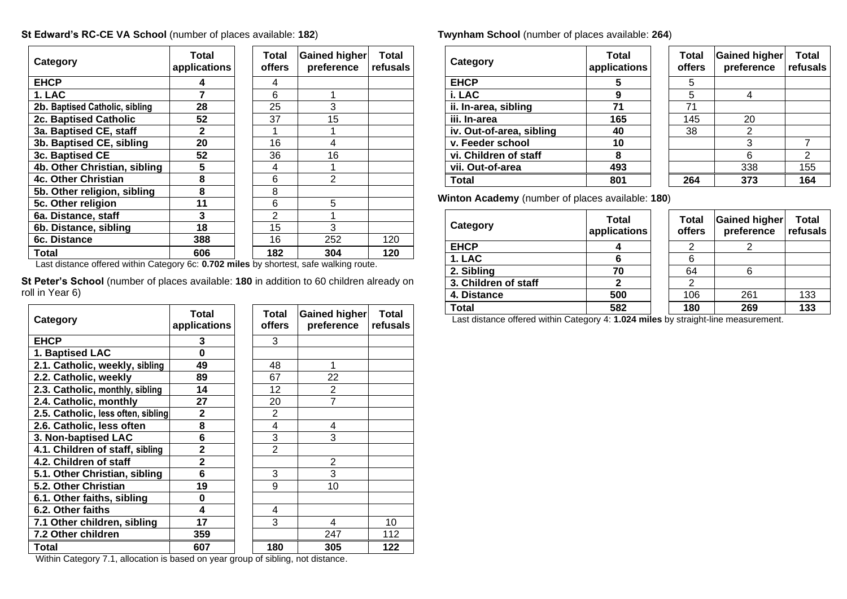## **St Edward's RC-CE VA School** (number of places available: **182**)

| Category                       | Total<br>applications | <b>Total</b><br>offers | Gained higher<br>preference | Total<br>refusals |
|--------------------------------|-----------------------|------------------------|-----------------------------|-------------------|
| <b>EHCP</b>                    |                       |                        |                             |                   |
| 1. LAC                         | 7                     | 6                      |                             |                   |
| 2b. Baptised Catholic, sibling | 28                    | 25                     | 3                           |                   |
| <b>2c. Baptised Catholic</b>   | 52                    | 37                     | 15                          |                   |
| 3a. Baptised CE, staff         | $\mathbf{2}$          |                        |                             |                   |
| 3b. Baptised CE, sibling       | 20                    | 16                     | 4                           |                   |
| 3c. Baptised CE                | 52                    | 36                     | 16                          |                   |
| 4b. Other Christian, sibling   | 5                     | 4                      |                             |                   |
| <b>4c. Other Christian</b>     | 8                     | 6                      | $\mathcal{P}$               |                   |
| 5b. Other religion, sibling    | 8                     | 8                      |                             |                   |
| 5c. Other religion             | 11                    | 6                      | 5                           |                   |
| 6a. Distance, staff            | 3                     | $\mathfrak{p}$         |                             |                   |
| 6b. Distance, sibling          | 18                    | 15                     | 3                           |                   |
| 6c. Distance                   | 388                   | 16                     | 252                         | 120               |
| Total                          | 606                   | 182                    | 304                         | 120               |

Last distance offered within Category 6c: **0.702 miles** by shortest, safe walking route.

**St Peter's School** (number of places available: **180** in addition to 60 children already on roll in Year 6)

| Category                                                | Total<br>applications | Total<br>offers                          | Gained higher<br>preference | <b>Total</b><br>refusals |
|---------------------------------------------------------|-----------------------|------------------------------------------|-----------------------------|--------------------------|
| <b>EHCP</b>                                             | 3                     | 3                                        |                             |                          |
| 1. Baptised LAC                                         | 0                     |                                          |                             |                          |
| 2.1. Catholic, weekly, sibling                          | 49                    | 48                                       |                             |                          |
| 2.2. Catholic, weekly                                   | 89                    | 67                                       | 22                          |                          |
| 2.3. Catholic, monthly, sibling                         | 14                    | 12                                       | $\overline{2}$              |                          |
| 2.4. Catholic, monthly                                  | 27                    | 20                                       | $\overline{7}$              |                          |
| 2.5. Catholic, less often, sibling                      | 2                     | $\mathfrak{p}$                           |                             |                          |
| 2.6. Catholic, less often                               | 8                     | 4                                        | 4                           |                          |
| 3. Non-baptised LAC                                     | 6                     | 3                                        | 3                           |                          |
| 4.1. Children of staff, sibling                         | 2                     | $\overline{2}$                           |                             |                          |
| 4.2. Children of staff                                  | $\overline{2}$        |                                          | 2                           |                          |
| 5.1. Other Christian, sibling                           | 6                     | 3                                        | 3                           |                          |
| 5.2. Other Christian                                    | 19                    | 9                                        | 10                          |                          |
| 6.1. Other faiths, sibling                              | 0                     |                                          |                             |                          |
| 6.2. Other faiths                                       | 4                     | 4                                        |                             |                          |
| 7.1 Other children, sibling                             | 17                    | 3                                        | 4                           | 10                       |
| 7.2 Other children                                      | 359                   |                                          | 247                         | 112                      |
| Total<br>$\mathbf{u} \cdot \mathbf{v}$<br>$\sim$ $\sim$ | 607                   | 180<br><b>Contract Contract Contract</b> | 305<br>.                    | 122                      |

**Twynham School** (number of places available: **264**)

| Category                 | Total<br>applications | Total<br>offers | <b>Gained higher</b><br>preference | Total<br>refusals |
|--------------------------|-----------------------|-----------------|------------------------------------|-------------------|
| <b>EHCP</b>              | 5                     | 5               |                                    |                   |
| i. LAC                   | 9                     | 5               |                                    |                   |
| ii. In-area, sibling     | 71                    | 71              |                                    |                   |
| iii. In-area             | 165                   | 145             | 20                                 |                   |
| iv. Out-of-area, sibling | 40                    | 38              | 2                                  |                   |
| v. Feeder school         | 10                    |                 | 3                                  |                   |
| vi. Children of staff    | 8                     |                 |                                    | 2                 |
| vii. Out-of-area         | 493                   |                 | 338                                | 155               |
| Total                    | 801                   | 264             | 373                                | 164               |

**Winton Academy** (number of places available: **180**)

| Category             | <b>Total</b><br>applications | <b>Total</b><br>offers | Gained higher<br>preference | <b>Total</b><br>refusals |
|----------------------|------------------------------|------------------------|-----------------------------|--------------------------|
| <b>EHCP</b>          |                              | ⌒                      |                             |                          |
| 1. LAC               | 6                            | 6                      |                             |                          |
| 2. Sibling           | 70                           | 64                     | 6                           |                          |
| 3. Children of staff |                              | 2                      |                             |                          |
| 4. Distance          | 500                          | 106                    | 261                         | 133                      |
| Total                | 582                          | 180                    | 269                         | 133                      |

Last distance offered within Category 4: **1.024 miles** by straight-line measurement.

Within Category 7.1, allocation is based on year group of sibling, not distance.